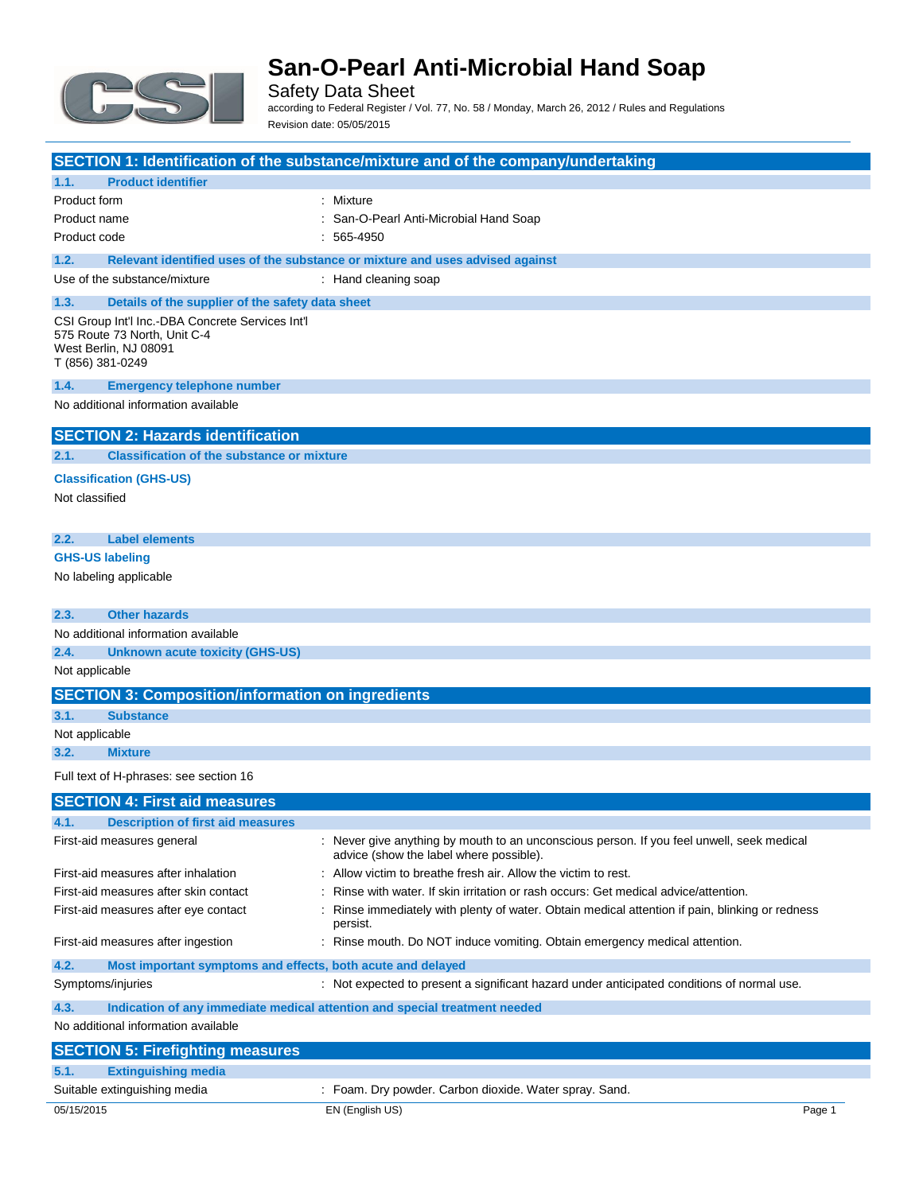

Safety Data Sheet according to Federal Register / Vol. 77, No. 58 / Monday, March 26, 2012 / Rules and Regulations Revision date: 05/05/2015

| <b>SECTION 1: Identification of the substance/mixture and of the company/undertaking</b>                                      |                                                                                                                                      |  |
|-------------------------------------------------------------------------------------------------------------------------------|--------------------------------------------------------------------------------------------------------------------------------------|--|
| <b>Product identifier</b><br>1.1.                                                                                             |                                                                                                                                      |  |
| Product form                                                                                                                  | : Mixture                                                                                                                            |  |
| Product name                                                                                                                  | San-O-Pearl Anti-Microbial Hand Soap                                                                                                 |  |
| Product code                                                                                                                  | $: 565-4950$                                                                                                                         |  |
| 1.2.                                                                                                                          | Relevant identified uses of the substance or mixture and uses advised against                                                        |  |
| Use of the substance/mixture                                                                                                  | : Hand cleaning soap                                                                                                                 |  |
| 1.3.<br>Details of the supplier of the safety data sheet                                                                      |                                                                                                                                      |  |
| CSI Group Int'l Inc.-DBA Concrete Services Int'l<br>575 Route 73 North, Unit C-4<br>West Berlin, NJ 08091<br>T (856) 381-0249 |                                                                                                                                      |  |
| 1.4.<br><b>Emergency telephone number</b>                                                                                     |                                                                                                                                      |  |
| No additional information available                                                                                           |                                                                                                                                      |  |
| <b>SECTION 2: Hazards identification</b>                                                                                      |                                                                                                                                      |  |
| <b>Classification of the substance or mixture</b><br>2.1.                                                                     |                                                                                                                                      |  |
| <b>Classification (GHS-US)</b>                                                                                                |                                                                                                                                      |  |
| Not classified                                                                                                                |                                                                                                                                      |  |
|                                                                                                                               |                                                                                                                                      |  |
| 2.2.<br><b>Label elements</b>                                                                                                 |                                                                                                                                      |  |
| <b>GHS-US labeling</b>                                                                                                        |                                                                                                                                      |  |
| No labeling applicable                                                                                                        |                                                                                                                                      |  |
|                                                                                                                               |                                                                                                                                      |  |
| <b>Other hazards</b><br>2.3.                                                                                                  |                                                                                                                                      |  |
| No additional information available                                                                                           |                                                                                                                                      |  |
| 2.4.<br><b>Unknown acute toxicity (GHS-US)</b>                                                                                |                                                                                                                                      |  |
| Not applicable                                                                                                                |                                                                                                                                      |  |
| <b>SECTION 3: Composition/information on ingredients</b>                                                                      |                                                                                                                                      |  |
| 3.1.<br><b>Substance</b>                                                                                                      |                                                                                                                                      |  |
| Not applicable                                                                                                                |                                                                                                                                      |  |
| 3.2.<br><b>Mixture</b>                                                                                                        |                                                                                                                                      |  |
| Full text of H-phrases: see section 16                                                                                        |                                                                                                                                      |  |
|                                                                                                                               |                                                                                                                                      |  |
| <b>SECTION 4: First aid measures</b>                                                                                          |                                                                                                                                      |  |
| <b>Description of first aid measures</b><br>4.1.                                                                              |                                                                                                                                      |  |
| First-aid measures general                                                                                                    | : Never give anything by mouth to an unconscious person. If you feel unwell, seek medical<br>advice (show the label where possible). |  |
| First-aid measures after inhalation                                                                                           | : Allow victim to breathe fresh air. Allow the victim to rest.                                                                       |  |
| First-aid measures after skin contact                                                                                         | Rinse with water. If skin irritation or rash occurs: Get medical advice/attention.                                                   |  |
| First-aid measures after eye contact                                                                                          | Rinse immediately with plenty of water. Obtain medical attention if pain, blinking or redness<br>persist.                            |  |
| First-aid measures after ingestion                                                                                            | : Rinse mouth. Do NOT induce vomiting. Obtain emergency medical attention.                                                           |  |
| 4.2.<br>Most important symptoms and effects, both acute and delayed                                                           |                                                                                                                                      |  |
| Symptoms/injuries                                                                                                             | : Not expected to present a significant hazard under anticipated conditions of normal use.                                           |  |
| 4.3.<br>Indication of any immediate medical attention and special treatment needed                                            |                                                                                                                                      |  |
| No additional information available                                                                                           |                                                                                                                                      |  |
| <b>SECTION 5: Firefighting measures</b>                                                                                       |                                                                                                                                      |  |
| 5.1.<br><b>Extinguishing media</b>                                                                                            |                                                                                                                                      |  |
| Suitable extinguishing media                                                                                                  | : Foam. Dry powder. Carbon dioxide. Water spray. Sand.                                                                               |  |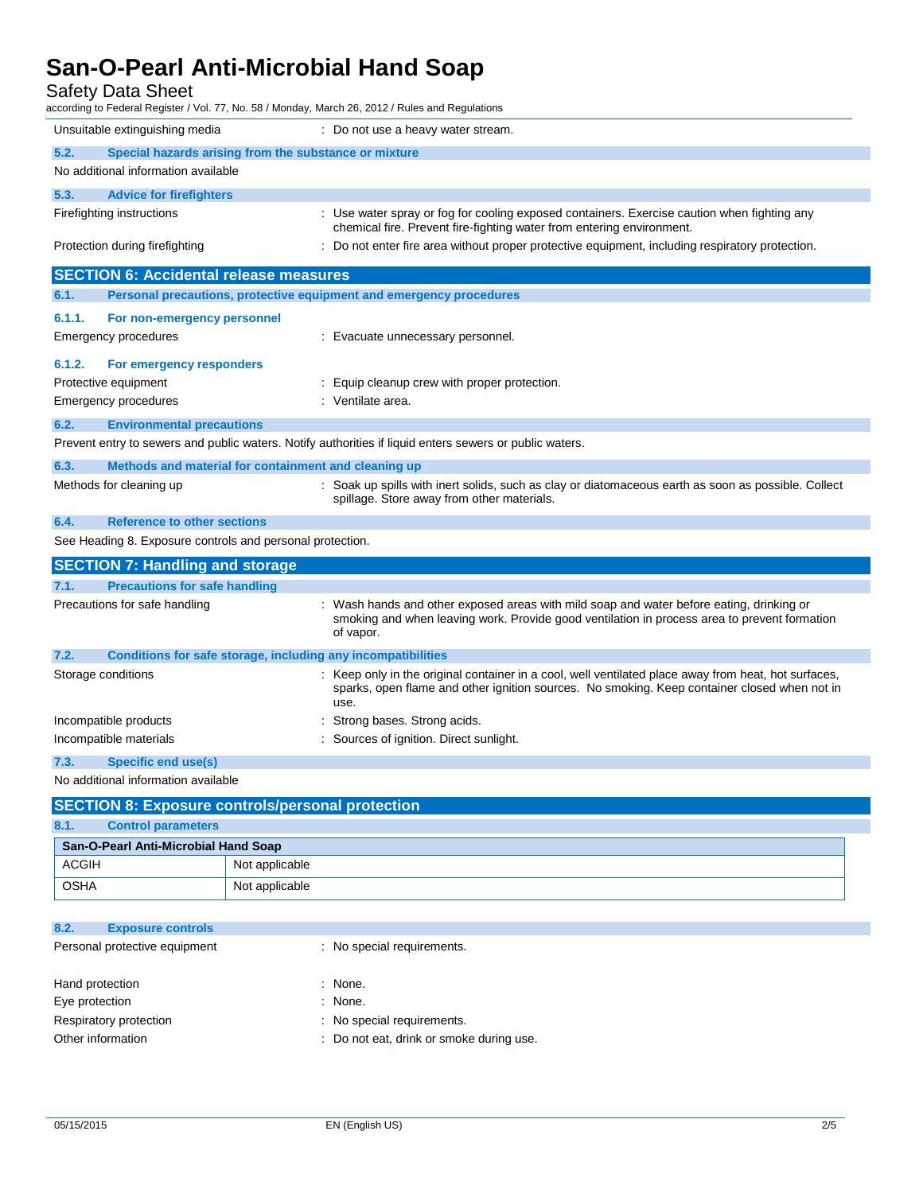### Safety Data Sheet

| Unsuitable extinguishing media                                                                          | : Do not use a heavy water stream.                                                                                                                                                                         |  |
|---------------------------------------------------------------------------------------------------------|------------------------------------------------------------------------------------------------------------------------------------------------------------------------------------------------------------|--|
| 5.2.<br>Special hazards arising from the substance or mixture                                           |                                                                                                                                                                                                            |  |
| No additional information available                                                                     |                                                                                                                                                                                                            |  |
| 5.3.<br><b>Advice for firefighters</b>                                                                  |                                                                                                                                                                                                            |  |
| Firefighting instructions                                                                               | : Use water spray or fog for cooling exposed containers. Exercise caution when fighting any<br>chemical fire. Prevent fire-fighting water from entering environment.                                       |  |
| Protection during firefighting                                                                          | : Do not enter fire area without proper protective equipment, including respiratory protection.                                                                                                            |  |
| <b>SECTION 6: Accidental release measures</b>                                                           |                                                                                                                                                                                                            |  |
| Personal precautions, protective equipment and emergency procedures<br>6.1.                             |                                                                                                                                                                                                            |  |
| 6.1.1.<br>For non-emergency personnel                                                                   |                                                                                                                                                                                                            |  |
| Emergency procedures                                                                                    | : Evacuate unnecessary personnel.                                                                                                                                                                          |  |
| 6.1.2.<br>For emergency responders                                                                      |                                                                                                                                                                                                            |  |
| Protective equipment                                                                                    | : Equip cleanup crew with proper protection.                                                                                                                                                               |  |
| Emergency procedures                                                                                    | : Ventilate area.                                                                                                                                                                                          |  |
| 6.2.<br><b>Environmental precautions</b>                                                                |                                                                                                                                                                                                            |  |
| Prevent entry to sewers and public waters. Notify authorities if liquid enters sewers or public waters. |                                                                                                                                                                                                            |  |
| 6.3.<br>Methods and material for containment and cleaning up                                            |                                                                                                                                                                                                            |  |
| Methods for cleaning up                                                                                 | : Soak up spills with inert solids, such as clay or diatomaceous earth as soon as possible. Collect                                                                                                        |  |
|                                                                                                         | spillage. Store away from other materials.                                                                                                                                                                 |  |
| 6.4.<br><b>Reference to other sections</b>                                                              |                                                                                                                                                                                                            |  |
| See Heading 8. Exposure controls and personal protection.                                               |                                                                                                                                                                                                            |  |
| <b>SECTION 7: Handling and storage</b>                                                                  |                                                                                                                                                                                                            |  |
| 7.1.<br><b>Precautions for safe handling</b>                                                            |                                                                                                                                                                                                            |  |
| Precautions for safe handling                                                                           | Wash hands and other exposed areas with mild soap and water before eating, drinking or<br>smoking and when leaving work. Provide good ventilation in process area to prevent formation<br>of vapor.        |  |
| 7.2.<br><b>Conditions for safe storage, including any incompatibilities</b>                             |                                                                                                                                                                                                            |  |
| Storage conditions                                                                                      | Keep only in the original container in a cool, well ventilated place away from heat, hot surfaces,<br>sparks, open flame and other ignition sources. No smoking. Keep container closed when not in<br>use. |  |
| Incompatible products                                                                                   | Strong bases. Strong acids.                                                                                                                                                                                |  |
| Incompatible materials                                                                                  | : Sources of ignition. Direct sunlight.                                                                                                                                                                    |  |
| 7.3.<br><b>Specific end use(s)</b>                                                                      |                                                                                                                                                                                                            |  |
| No additional information available                                                                     |                                                                                                                                                                                                            |  |
| <b>SECTION 8: Exposure controls/personal protection</b>                                                 |                                                                                                                                                                                                            |  |
|                                                                                                         |                                                                                                                                                                                                            |  |

| [SECTION 8: Exposure controls/personal protection] |                |  |
|----------------------------------------------------|----------------|--|
| 8.1.<br><b>Control parameters</b>                  |                |  |
| San-O-Pearl Anti-Microbial Hand Soap               |                |  |
| <b>ACGIH</b>                                       | Not applicable |  |
| <b>OSHA</b>                                        | Not applicable |  |

| : No special requirements.               |
|------------------------------------------|
|                                          |
| : None.                                  |
| : None.                                  |
| : No special requirements.               |
| : Do not eat, drink or smoke during use. |
|                                          |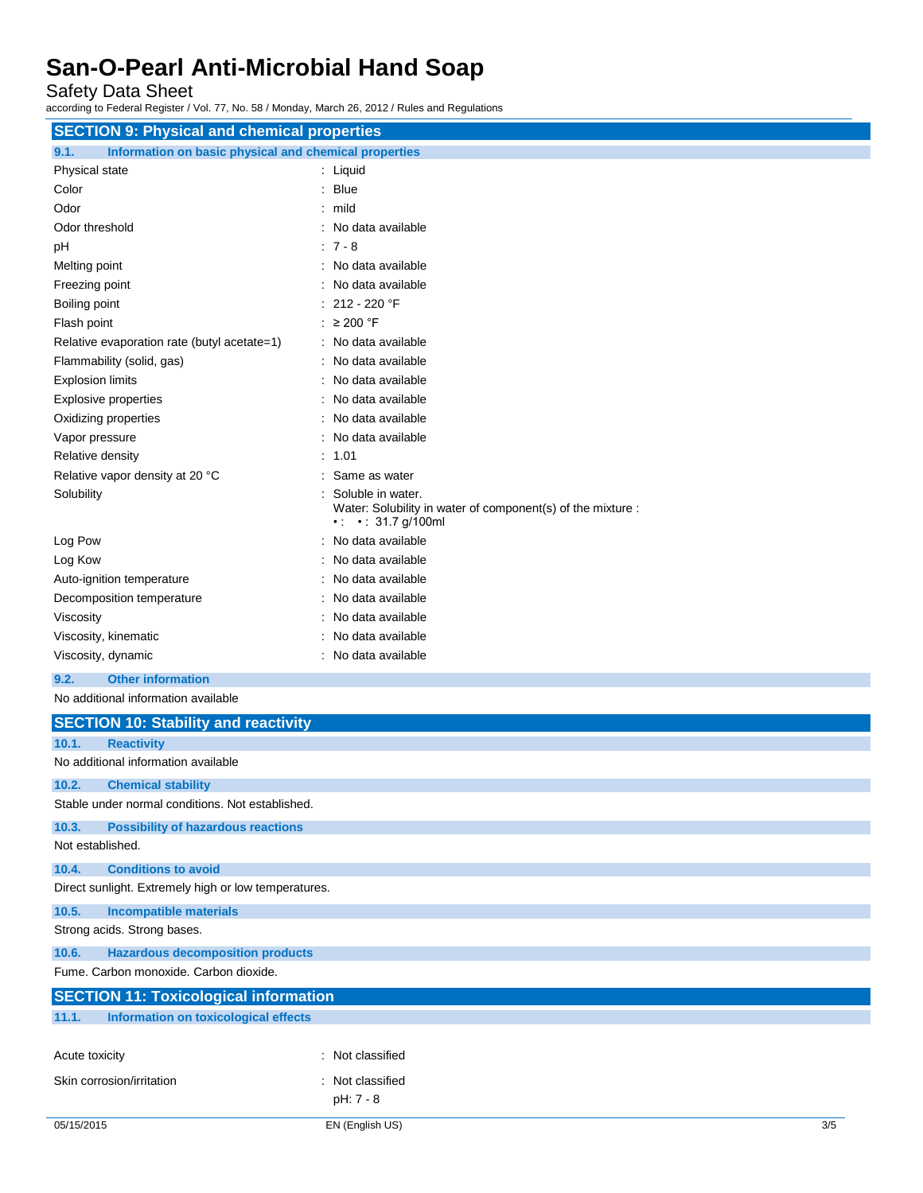Safety Data Sheet

according to Federal Register / Vol. 77, No. 58 / Monday, March 26, 2012 / Rules and Regulations

| <b>SECTION 9: Physical and chemical properties</b>            |                                                                                                                          |
|---------------------------------------------------------------|--------------------------------------------------------------------------------------------------------------------------|
| Information on basic physical and chemical properties<br>9.1. |                                                                                                                          |
| Physical state                                                | : Liquid                                                                                                                 |
| Color                                                         | $:$ Blue                                                                                                                 |
| Odor                                                          | : mild                                                                                                                   |
| Odor threshold                                                | No data available                                                                                                        |
| рH                                                            | $: 7 - 8$                                                                                                                |
| Melting point                                                 | No data available                                                                                                        |
| Freezing point                                                | No data available                                                                                                        |
| Boiling point                                                 | 212 - 220 °F                                                                                                             |
| Flash point                                                   | : $\geq 200$ °F                                                                                                          |
| Relative evaporation rate (butyl acetate=1)                   | No data available                                                                                                        |
| Flammability (solid, gas)                                     | No data available                                                                                                        |
| <b>Explosion limits</b>                                       | No data available                                                                                                        |
| <b>Explosive properties</b>                                   | No data available                                                                                                        |
| Oxidizing properties                                          | No data available                                                                                                        |
| Vapor pressure                                                | No data available                                                                                                        |
| Relative density                                              | : 1.01                                                                                                                   |
| Relative vapor density at 20 °C                               | Same as water                                                                                                            |
| Solubility                                                    | Soluble in water.<br>Water: Solubility in water of component(s) of the mixture :<br>$\cdot$ $\cdot$ $\cdot$ 31.7 g/100ml |
| Log Pow                                                       | No data available                                                                                                        |
| Log Kow                                                       | No data available                                                                                                        |
| Auto-ignition temperature                                     | No data available                                                                                                        |
| Decomposition temperature                                     | No data available                                                                                                        |
| Viscosity                                                     | No data available                                                                                                        |
| Viscosity, kinematic                                          | No data available                                                                                                        |
| Viscosity, dynamic                                            | No data available                                                                                                        |
| <b>Other information</b><br>9.2.                              |                                                                                                                          |
| No additional information available                           |                                                                                                                          |
| <b>SECTION 10: Stability and reactivity</b>                   |                                                                                                                          |
| 10.1.<br><b>Reactivity</b>                                    |                                                                                                                          |
| No additional information available                           |                                                                                                                          |
| 10.2.<br><b>Chemical stability</b>                            |                                                                                                                          |
| Stable under normal conditions. Not established.              |                                                                                                                          |
| 10.3.<br><b>Possibility of hazardous reactions</b>            |                                                                                                                          |
| Not established.                                              |                                                                                                                          |
| 10.4.<br><b>Conditions to avoid</b>                           |                                                                                                                          |
| Direct sunlight. Extremely high or low temperatures.          |                                                                                                                          |
| 10.5.<br><b>Incompatible materials</b>                        |                                                                                                                          |
| Strong acids. Strong bases.                                   |                                                                                                                          |
| <b>Hazardous decomposition products</b><br>10.6.              |                                                                                                                          |
| Fume. Carbon monoxide. Carbon dioxide.                        |                                                                                                                          |
| <b>SECTION 11: Toxicological information</b>                  |                                                                                                                          |
| 11.1.<br><b>Information on toxicological effects</b>          |                                                                                                                          |

Acute toxicity **in the case of the contract of the contract of the contract of the contract of the contract of the contract of the contract of the contract of the contract of the contract of the contract of the contract of** Skin corrosion/irritation : Not classified pH: 7 - 8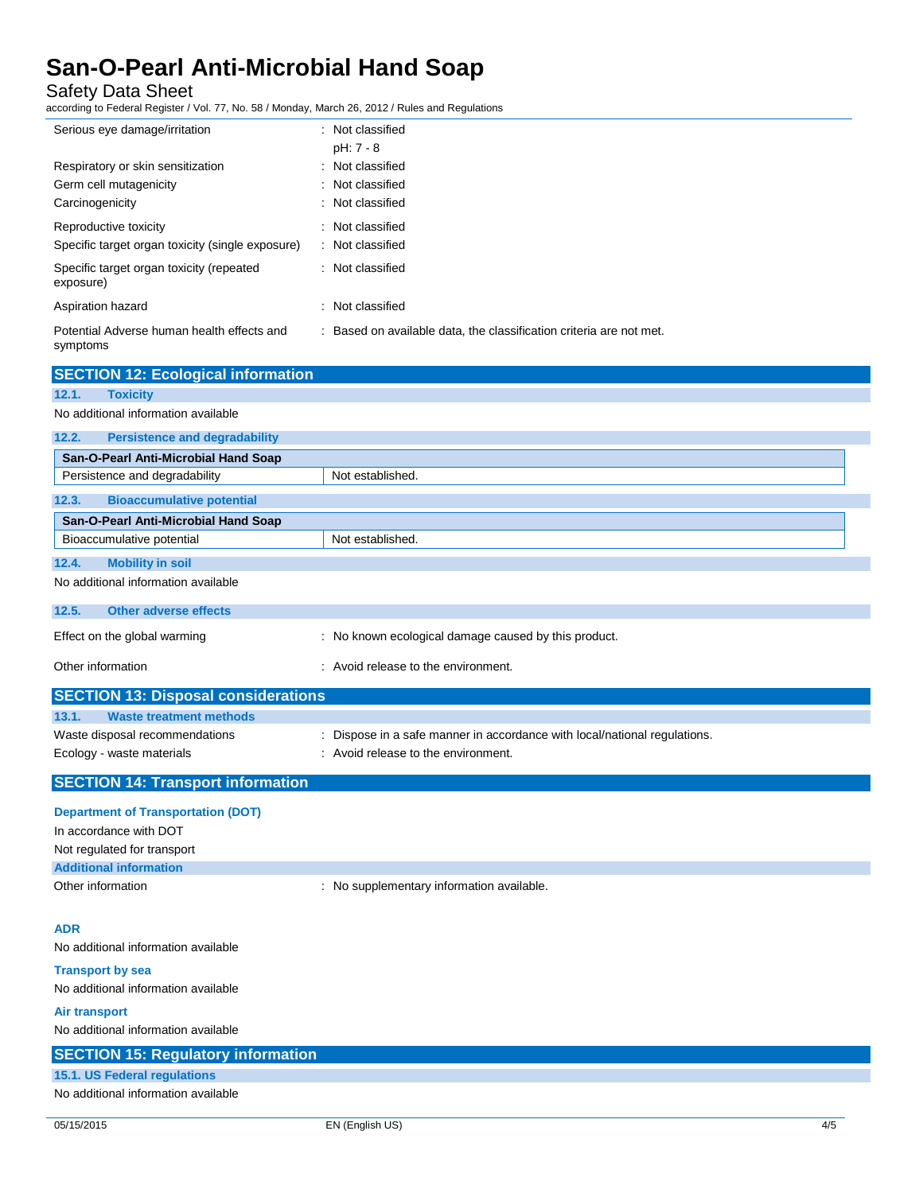Safety Data Sheet

according to Federal Register / Vol. 77, No. 58 / Monday, March 26, 2012 / Rules and Regulations

| Serious eye damage/irritation                                             | : Not classified<br>$pH: 7 - 8$                                     |
|---------------------------------------------------------------------------|---------------------------------------------------------------------|
| Respiratory or skin sensitization<br>Germ cell mutagenicity               | : Not classified<br>: Not classified                                |
| Carcinogenicity                                                           | : Not classified                                                    |
| Reproductive toxicity<br>Specific target organ toxicity (single exposure) | : Not classified<br>: Not classified                                |
| Specific target organ toxicity (repeated<br>exposure)                     | : Not classified                                                    |
| Aspiration hazard                                                         | : Not classified                                                    |
| Potential Adverse human health effects and<br>symptoms                    | : Based on available data, the classification criteria are not met. |

| <b>SECTION 12: Ecological information</b>     |                                                                           |  |
|-----------------------------------------------|---------------------------------------------------------------------------|--|
| 12.1.<br><b>Toxicity</b>                      |                                                                           |  |
| No additional information available           |                                                                           |  |
| <b>Persistence and degradability</b><br>12.2. |                                                                           |  |
| San-O-Pearl Anti-Microbial Hand Soap          |                                                                           |  |
| Persistence and degradability                 | Not established.                                                          |  |
| <b>Bioaccumulative potential</b><br>12.3.     |                                                                           |  |
| San-O-Pearl Anti-Microbial Hand Soap          |                                                                           |  |
| Bioaccumulative potential                     | Not established.                                                          |  |
| 12.4.<br><b>Mobility in soil</b>              |                                                                           |  |
| No additional information available           |                                                                           |  |
| 12.5.<br><b>Other adverse effects</b>         |                                                                           |  |
| Effect on the global warming                  | : No known ecological damage caused by this product.                      |  |
| Other information                             | : Avoid release to the environment.                                       |  |
| <b>SECTION 13: Disposal considerations</b>    |                                                                           |  |
| <b>Waste treatment methods</b><br>13.1.       |                                                                           |  |
| Waste disposal recommendations                | : Dispose in a safe manner in accordance with local/national regulations. |  |
| Ecology - waste materials                     | : Avoid release to the environment.                                       |  |
| <b>SECTION 14: Transport information</b>      |                                                                           |  |
| <b>Department of Transportation (DOT)</b>     |                                                                           |  |

| In accordance with DOT        |                                         |  |
|-------------------------------|-----------------------------------------|--|
| Not regulated for transport   |                                         |  |
| <b>Additional information</b> |                                         |  |
| Other information             | No supplementary information available. |  |

### **ADR**

No additional information available

**Transport by sea** No additional information available

**Air transport**

### No additional information available **SECTION 15: Regulatory information 15.1. US Federal regulations** No additional information available